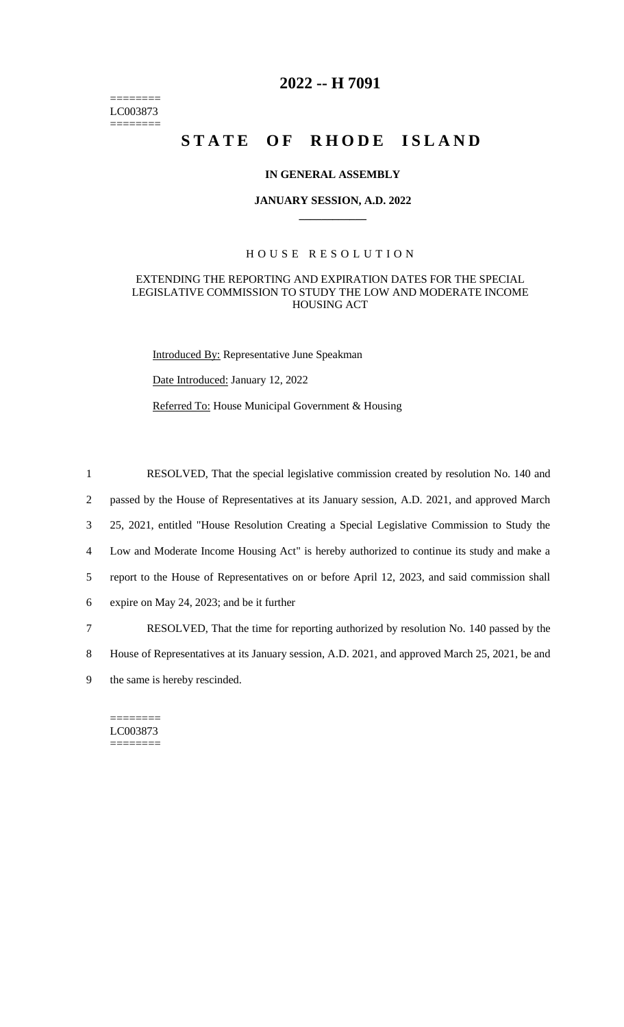======== LC003873 ========

# **2022 -- H 7091**

# **STATE OF RHODE ISLAND**

#### **IN GENERAL ASSEMBLY**

#### **JANUARY SESSION, A.D. 2022 \_\_\_\_\_\_\_\_\_\_\_\_**

#### H O U S E R E S O L U T I O N

#### EXTENDING THE REPORTING AND EXPIRATION DATES FOR THE SPECIAL LEGISLATIVE COMMISSION TO STUDY THE LOW AND MODERATE INCOME HOUSING ACT

Introduced By: Representative June Speakman

Date Introduced: January 12, 2022

Referred To: House Municipal Government & Housing

 RESOLVED, That the special legislative commission created by resolution No. 140 and passed by the House of Representatives at its January session, A.D. 2021, and approved March 25, 2021, entitled "House Resolution Creating a Special Legislative Commission to Study the Low and Moderate Income Housing Act" is hereby authorized to continue its study and make a report to the House of Representatives on or before April 12, 2023, and said commission shall expire on May 24, 2023; and be it further RESOLVED, That the time for reporting authorized by resolution No. 140 passed by the House of Representatives at its January session, A.D. 2021, and approved March 25, 2021, be and

9 the same is hereby rescinded.

======== LC003873 ========